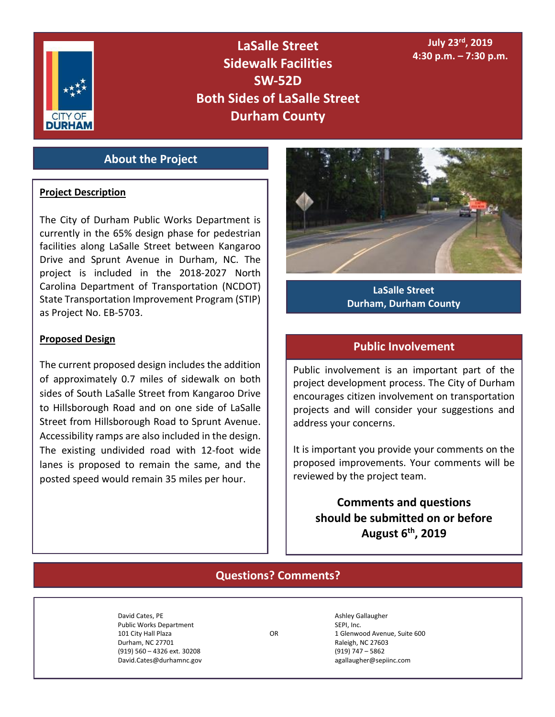

**LaSalle Street Sidewalk Facilities SW-52D Both Sides of LaSalle Street Durham County**

### **July 23rd, 2019 4:30 p.m. – 7:30 p.m.**

## **About the Project**

#### **Project Description**

The City of Durham Public Works Department is currently in the 65% design phase for pedestrian facilities along LaSalle Street between Kangaroo Drive and Sprunt Avenue in Durham, NC. The project is included in the 2018‐2027 North Carolina Department of Transportation (NCDOT) State Transportation Improvement Program (STIP) as Project No. EB-5703.

#### **Proposed Design**

The current proposed design includes the addition of approximately 0.7 miles of sidewalk on both sides of South LaSalle Street from Kangaroo Drive to Hillsborough Road and on one side of LaSalle Street from Hillsborough Road to Sprunt Avenue. Accessibility ramps are also included in the design. The existing undivided road with 12-foot wide lanes is proposed to remain the same, and the posted speed would remain 35 miles per hour.



**LaSalle Street Durham, Durham County**

### **Public Involvement**

Public involvement is an important part of the project development process. The City of Durham encourages citizen involvement on transportation projects and will consider your suggestions and address your concerns.

It is important you provide your comments on the proposed improvements. Your comments will be reviewed by the project team.

**Comments and questions should be submitted on or before August 6th, 2019**

## **Questions? Comments?**

David Cates, PE Ashley Gallaugher Cates, PE Public Works Department **SEPI, Inc.** SEPI, Inc. Durham, NC 27701 **Raleigh, NC 27603**  (919) 560 – 4326 ext. 30208 (919) 747 – 5862 David.Cates@durhamnc.gov agallaugher@sepiinc.com

101 City Hall Plaza OR 1 Glenwood Avenue, Suite 600